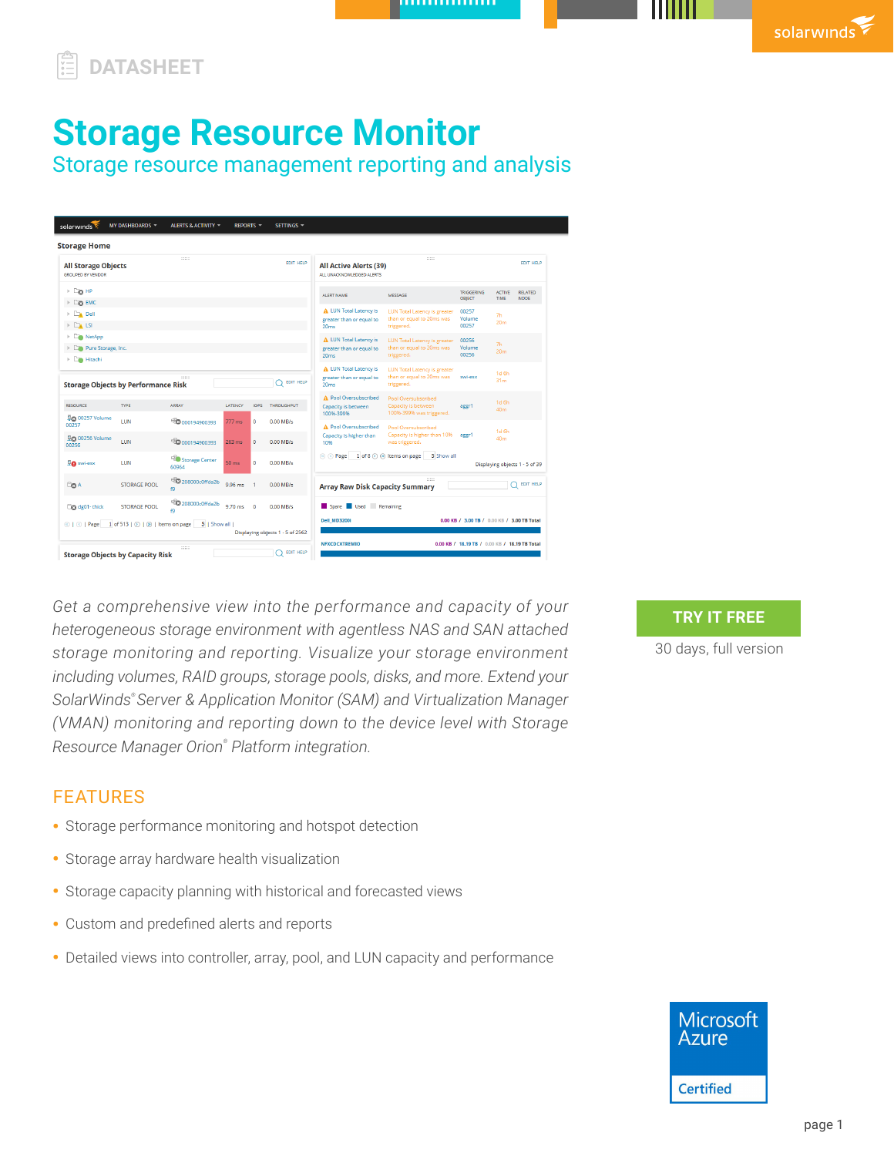## **DATASHEET**

# **Storage Resource Monitor**

Storage resource management reporting and analysis

| <b>Storage Home</b>                                                 |                                             |                                     |                  |                        |                                  |                                                                               |                                                                                |                                             |                                     |                                |
|---------------------------------------------------------------------|---------------------------------------------|-------------------------------------|------------------|------------------------|----------------------------------|-------------------------------------------------------------------------------|--------------------------------------------------------------------------------|---------------------------------------------|-------------------------------------|--------------------------------|
| <b>All Storage Objects</b><br><b>GROUPED BY VENDOR</b>              |                                             | 11111                               |                  |                        | <b>EDIT HELP</b>                 | <b>All Active Alerts (39)</b><br>ALL UNACKNOWLEDGED ALERTS                    | 11111                                                                          |                                             |                                     | <b>EDIT HELP</b>               |
| $\triangleright$ Eg HP                                              |                                             |                                     |                  |                        |                                  | <b>ALERT NAME</b>                                                             | MESSAGE                                                                        | <b>TRIGGERING</b><br><b>OBJECT</b>          | <b>ACTIVE</b><br>TIME               | <b>RELATED</b><br><b>NODE</b>  |
| $\triangleright$ Emc                                                |                                             |                                     |                  |                        |                                  |                                                                               |                                                                                |                                             |                                     |                                |
| $\triangleright$ $\square$ Dell<br>$\triangleright$ $\square_k$ LSI |                                             |                                     |                  |                        |                                  | <b>A</b> LUN Total Latency is<br>greater than or equal to<br>20 <sub>ms</sub> | <b>LUN Total Latency is greater</b><br>than or equal to 20ms was<br>triggered. | 00257<br>Volume<br>00257                    | 7h<br>20 <sub>m</sub>               |                                |
| $\triangleright$ $\Box$ NetApp<br>Pure Storage, Inc.<br>Hitachi     |                                             |                                     |                  |                        |                                  | A LUN Total Latency is<br>greater than or equal to<br>20ms                    | <b>LUN Total Latency is greater</b><br>than or equal to 20ms was<br>triggered. | 00256<br>Volume<br>00256                    | 7h<br>20 <sub>m</sub>               |                                |
|                                                                     | <b>Storage Objects by Performance Risk</b>  | 111111                              |                  |                        | <b>EDIT HELP</b>                 | <b>A LUN Total Latency is</b><br>greater than or equal to<br>20ms             | <b>LUN Total Latency is greater</b><br>than or equal to 20ms was<br>triggered. | swi-esx                                     | 1d <sub>6h</sub><br>31 <sub>m</sub> |                                |
| <b>RESOURCE</b><br><b>P</b> @ 00257 Volume                          | <b>TYPE</b>                                 | ARRAY                               | LATENCY          | <b>IOPS</b>            | <b>THROUGHPUT</b>                | A Pool Oversubscribed<br>Capacity is between<br>10096-39996                   | Paol Oversubscribed<br>Capacity is between<br>100%-399% was triggered.         | aggr1                                       | 1d 6h<br>40 <sub>m</sub>            |                                |
| 00257<br><b>PG</b> 00256 Volume                                     | LUN<br>LUN                                  | 2000194900393<br>8000194900393      | 777 ms<br>263 ms | $\bullet$<br>$\bullet$ | 0.00 MB/s<br>$0.00$ MB/s         | A Pool Oversubscribed<br>Capacity is higher than<br>10%                       | Pool Oversubscribed<br>Capacity is higher than 10%<br>was triggered.           | aggr1                                       | 1d <sub>6h</sub><br>40 <sub>m</sub> |                                |
| 00256<br><b>De</b> swi-esx                                          | LUN                                         | Storage Center<br>60964             | 50 <sub>ms</sub> | $\bullet$              | $0.00$ MB/s                      | (a) (c) Page 1 of 8 (b) (a) Items on page                                     | 5 Show all                                                                     |                                             |                                     | Displaying objects 1 - 5 of 39 |
| <b>Bo</b> A                                                         | <b>STORAGE POOL</b>                         | <sup>E</sup> 208000c0ffda2b<br>f9   | 9.96 ms          |                        | $0.00$ MB/s                      | <b>Array Raw Disk Capacity Summary</b>                                        | 11111                                                                          |                                             |                                     | <b>EDIT HELP</b>               |
| Cg dg01-thick                                                       | <b>STORAGE POOL</b>                         | <sup>E</sup> O 208000c0ffda2b<br>fQ | $9.70$ ms        | $\Omega$               | $0.00$ MB/s                      | Spare Used Remaining                                                          |                                                                                |                                             |                                     |                                |
| $@ @ $ Page                                                         | 1 of 513   $\odot$   $\odot$   tems on page | 5   Show all I                      |                  |                        | Displaying objects 1 - 5 of 2562 | <b>Dell_MD3200I</b>                                                           |                                                                                | 0.00 KB / 3.00 TB / 0.00 KB / 3.00 TB Total |                                     |                                |

Get a comprehensive view into the performance and capacity of your *heterogeneous storage environment with agentless NAS and SAN attached storage monitoring and reporting. Visualize your storage environment including volumes, RAID groups, storage pools, disks, and more. Extend your SolarWinds® Server & Application Monitor (SAM) and Virtualization Manager (VMAN) monitoring and reporting down to the device level with Storage Resource Manager Orion® Platform integration.*

## FEATURES

- Storage performance monitoring and hotspot detection
- Storage array hardware health visualization
- Storage capacity planning with historical and forecasted views
- Custom and predefined alerts and reports
- Detailed views into controller, array, pool, and LUN capacity and performance



## **TRY IT FREE**

[30 days, full version](https://www.solarwinds.com/storage-resource-monitor/registration?CMP=LEC-DTST-SWI-SW_WW_X_PP_X_LD_EN_STGGEN_SW-SRM-20200706_DATASHEET_X_X_VidNo_X-X)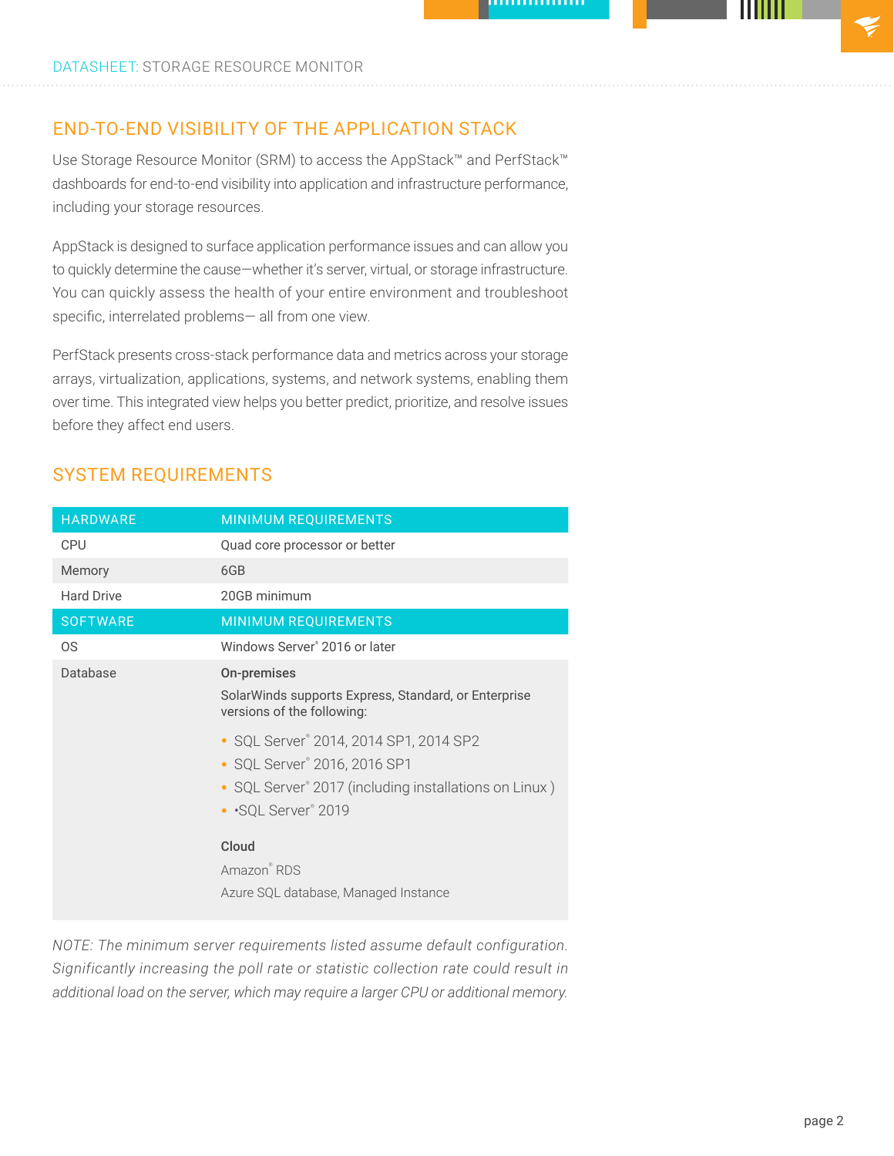## END-TO-END VISIBILITY OF THE APPLICATION STACK

Use Storage Resource Monitor (SRM) to access the AppStack™ and PerfStack™ dashboards for end-to-end visibility into application and infrastructure performance, including your storage resources.

AppStack is designed to surface application performance issues and can allow you to quickly determine the cause—whether it's server, virtual, or storage infrastructure. You can quickly assess the health of your entire environment and troubleshoot specific, interrelated problems— all from one view.

PerfStack presents cross-stack performance data and metrics across your storage arrays, virtualization, applications, systems, and network systems, enabling them over time. This integrated view helps you better predict, prioritize, and resolve issues before they affect end users.

| <b>HARDWARE</b>   | <b>MINIMUM REQUIREMENTS</b>                                                                                                                             |  |  |  |  |  |
|-------------------|---------------------------------------------------------------------------------------------------------------------------------------------------------|--|--|--|--|--|
| CPU               | Quad core processor or better                                                                                                                           |  |  |  |  |  |
| Memory            | 6GB                                                                                                                                                     |  |  |  |  |  |
| <b>Hard Drive</b> | 20GB minimum                                                                                                                                            |  |  |  |  |  |
| <b>SOFTWARE</b>   | <b>MINIMUM REQUIREMENTS</b>                                                                                                                             |  |  |  |  |  |
| 0S                | Windows Server <sup>®</sup> 2016 or later                                                                                                               |  |  |  |  |  |
| Database          | On-premises<br>Solar Winds supports Express, Standard, or Enterprise<br>versions of the following:                                                      |  |  |  |  |  |
|                   | • SQL Server® 2014, 2014 SP1, 2014 SP2<br>• SQL Server® 2016, 2016 SP1<br>• SQL Server® 2017 (including installations on Linux)<br>• · SQL Server® 2019 |  |  |  |  |  |
|                   | Cloud<br>Amazon® RDS<br>Azure SQL database, Managed Instance                                                                                            |  |  |  |  |  |

## SYSTEM REQUIREMENTS

*NOTE: The minimum server requirements listed assume default configuration. Significantly increasing the poll rate or statistic collection rate could result in additional load on the server, which may require a larger CPU or additional memory.*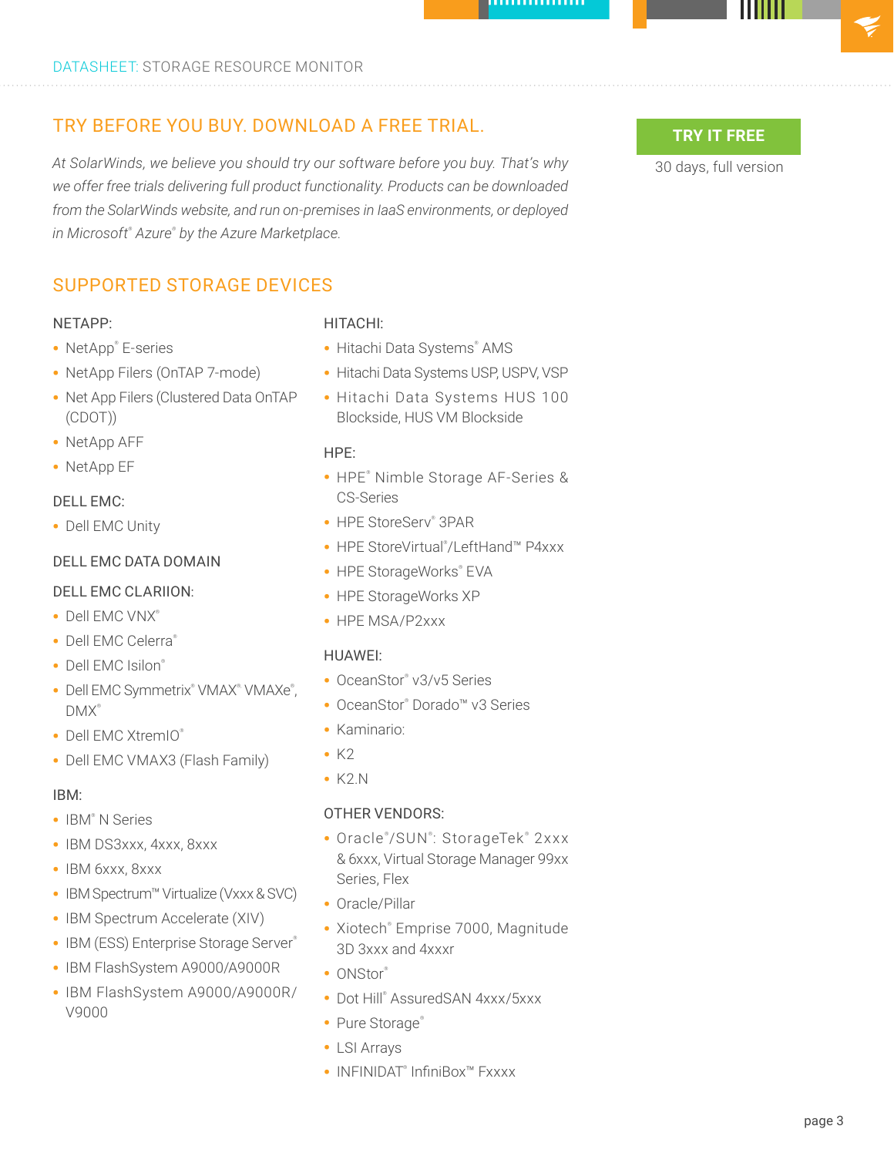## TRY BEFORE YOU BUY. DOWNLOAD A FREE TRIAL.

*At SolarWinds, we believe you should try our software before you buy. That's why we offer free trials delivering full product functionality. Products can be downloaded from the SolarWinds website, and run on-premises in IaaS environments, or deployed in Microsoft® Azure® by the Azure Marketplace.*

## SUPPORTED STORAGE DEVICES

#### NETAPP:

- NetApp® E-series
- NetApp Filers (OnTAP 7-mode)
- Net App Filers (Clustered Data OnTAP (CDOT))
- NetApp AFF
- NetApp EF

#### DELL EMC:

• Dell EMC Unity

### DELL EMC DATA DOMAIN

#### DELL EMC CLARIION:

- Dell EMC VNX®
- Dell EMC Celerra®
- Dell EMC Isilon®
- Dell EMC Symmetrix® VMAX® VMAXe®, DMX®️
- Dell EMC XtremIO®
- Dell EMC VMAX3 (Flash Family)

#### IBM:

- IBM<sup>®</sup> N Series
- IBM DS3xxx, 4xxx, 8xxx
- IBM 6xxx, 8xxx
- IBM Spectrum™ Virtualize (Vxxx & SVC)
- IBM Spectrum Accelerate (XIV)
- IBM (ESS) Enterprise Storage Server®
- IBM FlashSystem A9000/A9000R
- IBM FlashSystem A9000/A9000R/ V9000

#### HITACHI:

- Hitachi Data Systems® AMS
- Hitachi Data Systems USP, USPV, VSP
- Hitachi Data Systems HUS 100 Blockside, HUS VM Blockside

#### HPE:

- HPE® Nimble Storage AF-Series & CS-Series
- HPE StoreServ® 3PAR
- HPE StoreVirtual® /LeftHand™ P4xxx
- HPE StorageWorks® EVA
- HPE StorageWorks XP
- HPE MSA/P2xxx

#### HUAWEI:

- OceanStor® v3/v5 Series
- OceanStor® Dorado™ v3 Series
- Kaminario:
- $\cdot$  K<sub>2</sub>
- K2.N

#### OTHER VENDORS:

- Oracle®/SUN®: StorageTek® 2xxx & 6xxx, Virtual Storage Manager 99xx Series, Flex
- Oracle/Pillar
- Xiotech® Emprise 7000, Magnitude 3D 3xxx and 4xxxr
- ONStor®
- Dot Hill® AssuredSAN 4xxx/5xxx
- Pure Storage®
- LSI Arrays
- INFINIDAT® InfiniBox™ Fxxxx

## **TRY IT FREE**

[30 days, full version](https://www.solarwinds.com/storage-resource-monitor/registration?CMP=LEC-DTST-SWI-SW_WW_X_PP_X_LD_EN_STGGEN_SW-SRM-20200706_DATASHEET_X_X_VidNo_X-X)